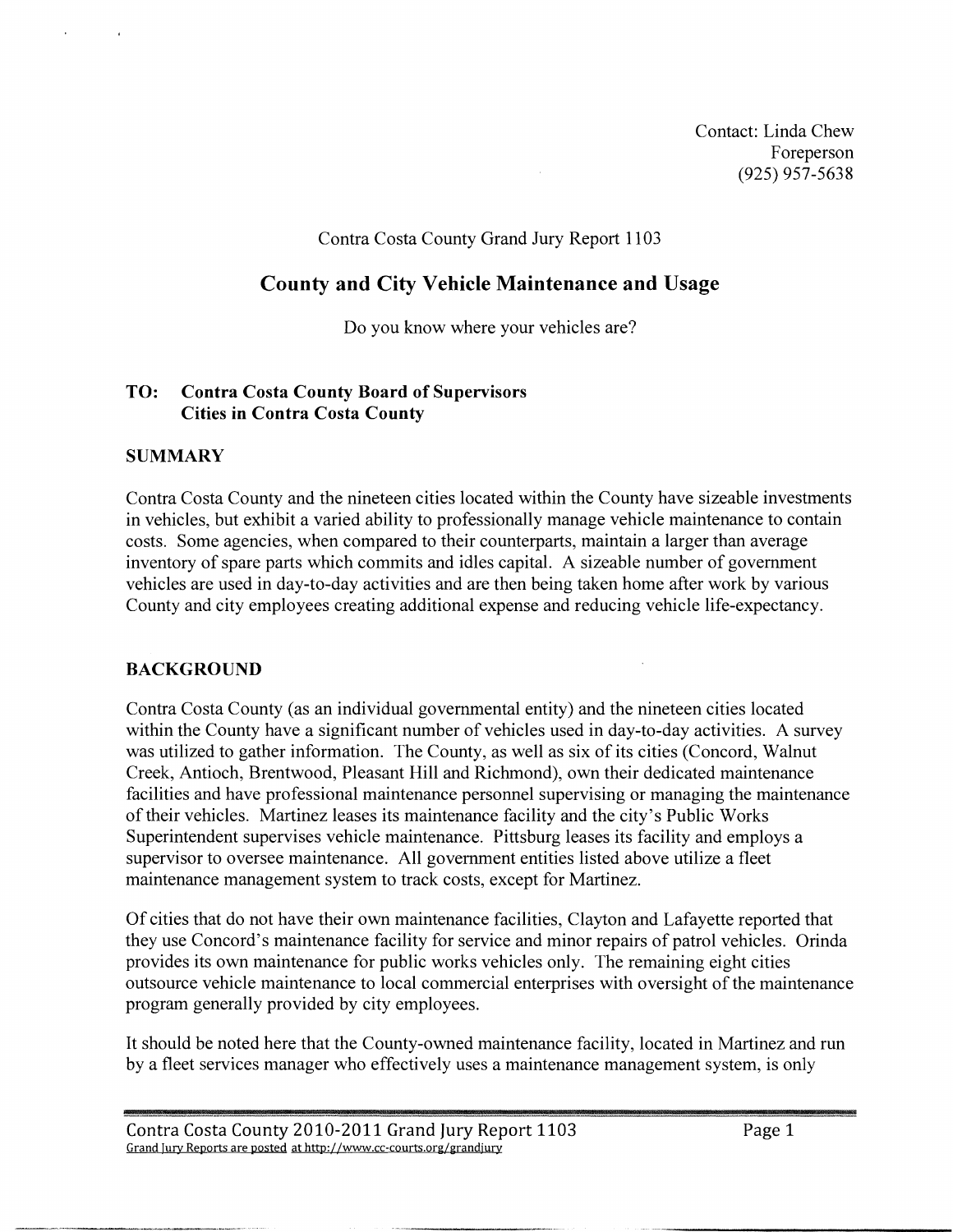Contact: Linda Chew Foreperson (925) 957-5638

#### Contra Costa County Grand Jury Report 1 103

# **County and City Vehicle Maintenance and Usage**

Do you know where your vehicles are?

## **TO: Contra Costa County Board of Supervisors Cities in Contra Costa County**

## **SUMMARY**

Contra Costa County and the nineteen cities located within the County have sizeable investments in vehicles, but exhibit a varied ability to professionally manage vehicle maintenance to contain costs. Some agencies, when compared to their counterparts, maintain a larger than average inventory of spare parts which commits and idles capital. A sizeable number of government vehicles are used in day-to-day activities and are then being taken home after work by various County and city employees creating additional expense and reducing vehicle life-expectancy.

# **BACKGROUND**

Contra Costa County (as an individual governmental entity) and the nineteen cities located within the County have a significant number of vehicles used in day-to-day activities. A survey was utilized to gather information. The County, as well as six of its cities (Concord, Walnut Creek, Antioch, Rrentwood, Pleasant Hill and Richmond), own their dedicated maintenance facilities and have professional maintenance personnel supervising or managing the maintenance of their vehicles. Martinez leases its maintenance facility and the city's Public Works Superintendent supervises vehicle maintenance. Pittsburg leases its facility and employs a supervisor to oversee maintenance. All government entities listed above utilize a fleet maintenance management system to track costs, except for Martinez.

Of cities that do not have their own maintenance facilities, Clayton and Lafayette reported that they use Concord's maintenance facility for service and minor repairs of patrol vehicles. Orinda provides its own maintenance for public works vehicles only. The remaining eight cities outsource vehicle maintenance to local commercial enterprises with oversight of the maintenance program generally provided by city employees.

It should be noted here that the County-owned maintenance facility, located in Martinez and run by a fleet services manager who effectively uses a maintenance management system, is only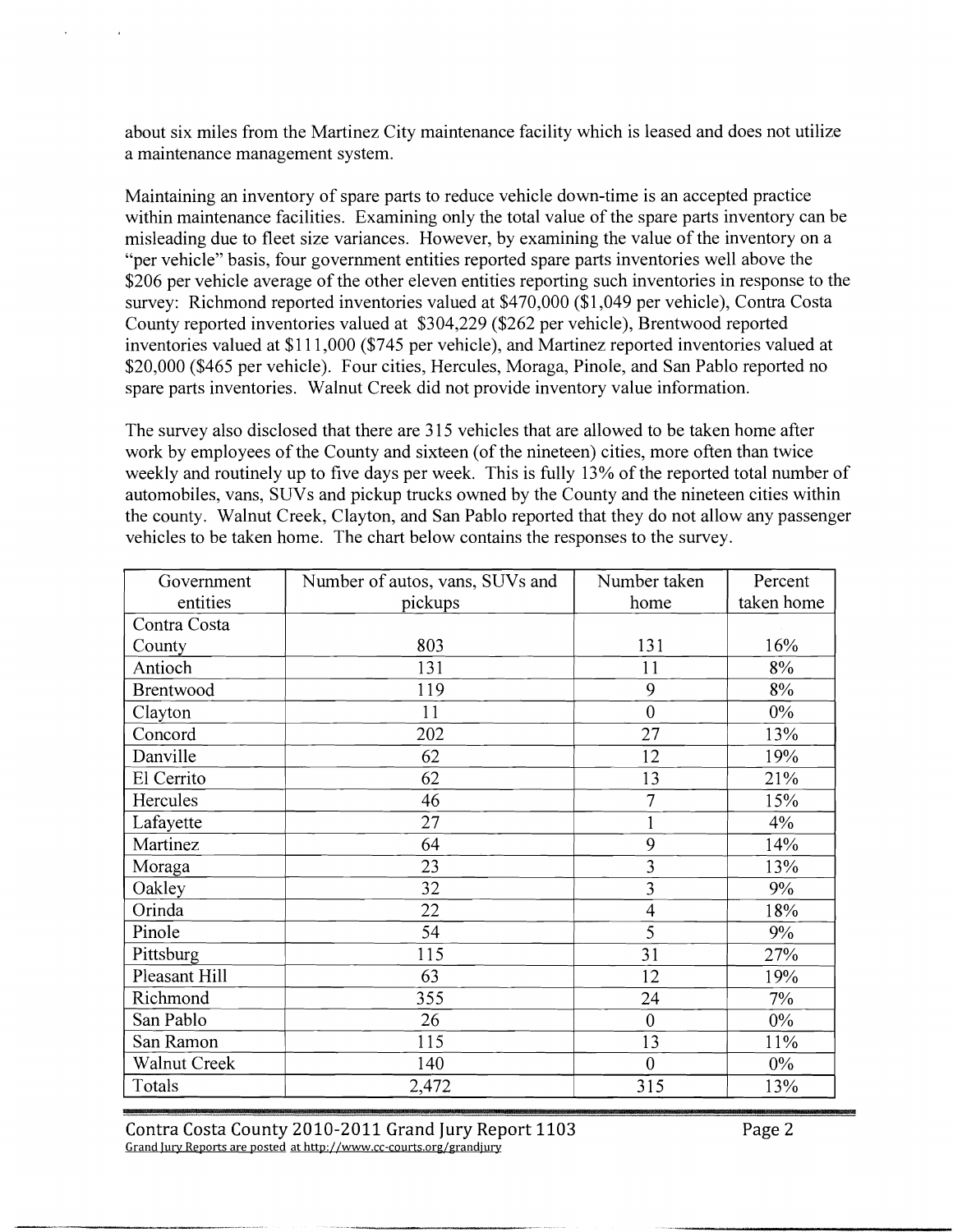about six miles from the Martinez City maintenance facility which is leased and does not utilize a maintenance management system.

Maintaining an inventory of spare parts to reduce vehicle down-time is an accepted practice within maintenance facilities. Examining only the total value of the spare parts inventory can be misleading due to fleet size variances. However, by examining the value of the inventory on a "per vehicle" basis, four government entities reported spare parts inventories well above the \$206 per vehicle average of the other eleven entities reporting such inventories in response to the survey: Richmond reported inventories valued at \$470,000 (\$1,049 per vehicle), Contra Costa County reported inventories valued at \$304,229 (\$262 per vehicle), Brentwood reported inventories valued at \$1 1 1,000 (\$745 per vehicle), and Martinez reported inventories valued at \$20,000 (\$465 per vehicle). Four cities, Hercules, Moraga, Pinole, and San Pablo reported no spare parts inventories. Walnut Creek did not provide inventory value information.

The survey also disclosed that there are 315 vehicles that are allowed to be taken home after work by employees of the County and sixteen (of the nineteen) cities, more often than twice weekly and routinely up to five days per week. This is fully 13% of the reported total number of automobiles, vans, SUVs and pickup trucks owned by the County and the nineteen cities within the county. Walnut Creek, Clayton, and San Pablo reported that they do not allow any passenger vehicles to be taken home. The chart below contains the responses to the survey.

| Government       | Number of autos, vans, SUVs and | Number taken            | Percent    |
|------------------|---------------------------------|-------------------------|------------|
| entities         | pickups                         | home                    | taken home |
| Contra Costa     |                                 |                         |            |
| County           | 803                             | 131                     | 16%        |
| Antioch          | 131                             | 11                      | 8%         |
| <b>Brentwood</b> | 119                             | 9                       | 8%         |
| Clayton          | 11                              | $\overline{0}$          | $0\%$      |
| Concord          | 202                             | 27                      | 13%        |
| Danville         | 62                              | 12                      | 19%        |
| El Cerrito       | 62                              | 13                      | 21%        |
| Hercules         | 46                              | 7                       | 15%        |
| Lafayette        | 27                              |                         | 4%         |
| Martinez         | 64                              | 9                       | 14%        |
| Moraga           | 23                              | $\overline{\mathbf{3}}$ | 13%        |
| Oakley           | 32                              | 3                       | 9%         |
| Orinda           | 22                              | $\overline{4}$          | 18%        |
| Pinole           | 54                              | 5                       | 9%         |
| Pittsburg        | 115                             | 31                      | 27%        |
| Pleasant Hill    | 63                              | 12                      | 19%        |
| Richmond         | 355                             | 24                      | 7%         |
| San Pablo        | 26                              | $\mathbf{0}$            | $0\%$      |
| San Ramon        | 115                             | 13                      | 11%        |
| Walnut Creek     | 140                             | $\overline{0}$          | $0\%$      |
| Totals           | 2,472                           | 315                     | 13%        |

Contra Costa County 2010-2011 Grand Jury Report 1103 Page 2 Grand Jury Reports are posted at http://www.cc-courts.org/grandjury

""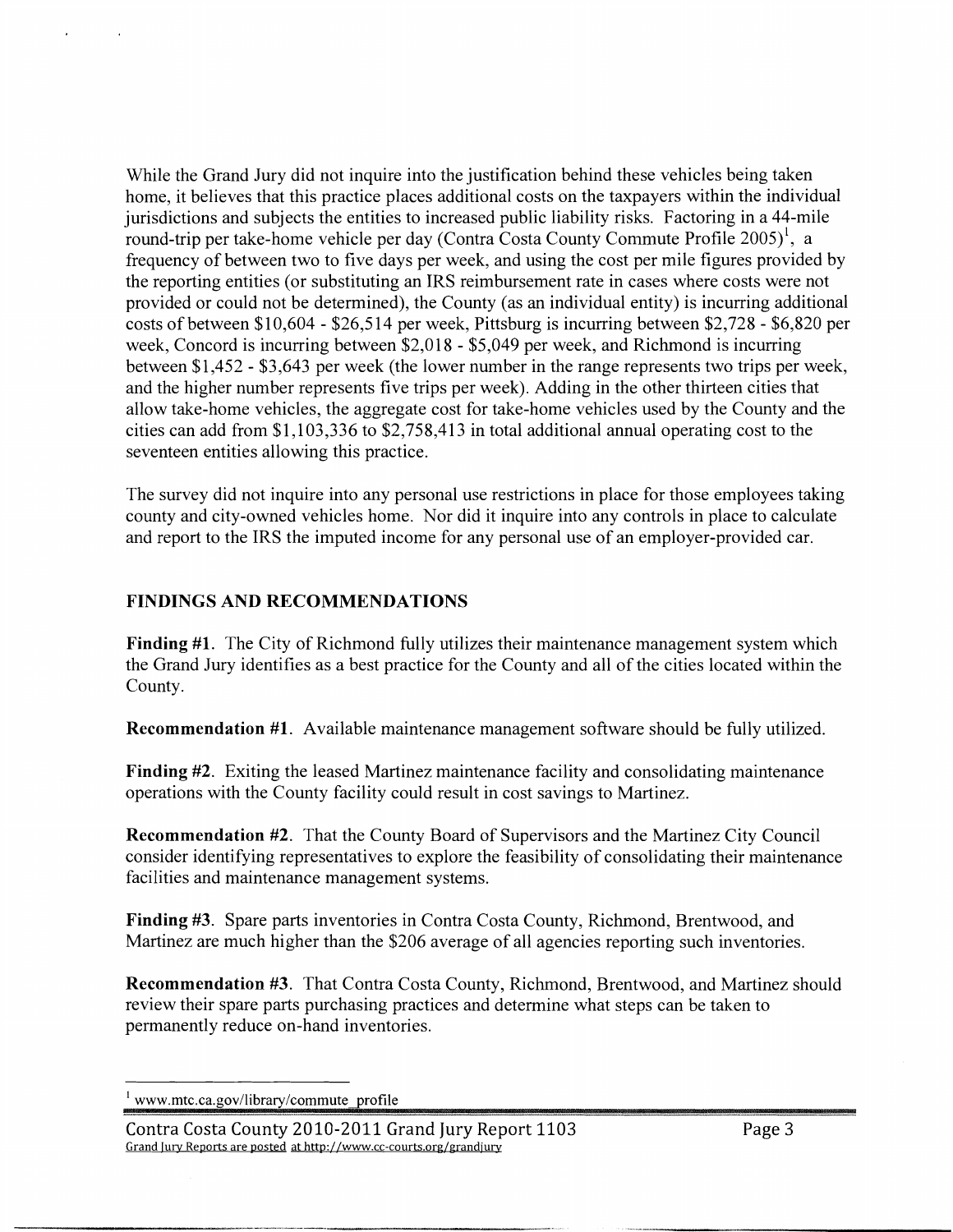While the Grand Jury did not inquire into the justification behind these vehicles being taken home, it believes that this practice places additional costs on the taxpayers within the individual jurisdictions and subjects the entities to increased public liability risks. Factoring in a 44-mile round-trip per take-home vehicle per day (Contra Costa County Commute Profile 2005)<sup>1</sup>, a frequency of between two to five days per week, and using the cost per mile figures provided by the reporting entities (or substituting an IRS reimbursement rate in cases where costs were not provided or could not be determined), the County (as an individual entity) is incurring additional costs of between \$10,604 - \$26,5 14 per week, Pittsburg is incurring between \$2,728 - \$6,820 per week, Concord is incurring between \$2,018 - \$5,049 per week, and Richmond is incurring between \$1,452 - \$3,643 per week (the lower number in the range represents two trips per week, and the higher number represents five trips per week). Adding in the other thirteen cities that allow take-home vehicles, the aggregate cost for take-home vehicles used by the County and the cities can add from \$1,103,336 to \$2,758,413 in total additional annual operating cost to the seventeen entities allowing this practice.

The survey did not inquire into any personal use restrictions in place for those employees taking county and city-owned vehicles home. Nor did it inquire into any controls in place to calculate and report to the IRS the imputed income for any personal use of an employer-provided car.

#### **FINDINGS AND RECOMMENDATIONS**

**Finding #l.** The City of Richmond fully utilizes their maintenance management system which the Grand Jury identifies as a best practice for the County and all of the cities located within the County.

**Recommendation #l.** Available maintenance management software should be fully utilized.

**Finding #2.** Exiting the leased Martinez maintenance facility and consolidating maintenance operations with the County facility could result in cost savings to Martinez.

**Recommendation #2.** That the County Board of Supervisors and the Martinez City Council consider identifying representatives to explore the feasibility of consolidating their maintenance facilities and maintenance management systems.

**Finding #3.** Spare parts inventories in Contra Costa County, Richmond, Brentwood, and Martinez are much higher than the \$206 average of all agencies reporting such inventories.

**Recommendation #3.** That Contra Costa County, Richmond, Brentwood, and Martinez should review their spare parts purchasing practices and determine what steps can be taken to permanently reduce on-hand inventories.

www.mtc.ca.gov/library/commute profile

Contra Costa County 2010-2011 Grand Jury Report 1103 Grand Jury Reports are posted at http://www.cc-courts.org/grandjury